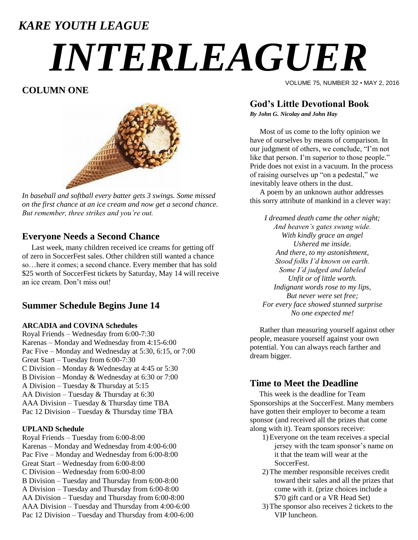# *KARE YOUTH LEAGUE*

# *INTERLEAGUER*

# **COLUMN ONE**



*In baseball and softball every batter gets 3 swings. Some missed on the first chance at an ice cream and now get a second chance. But remember, three strikes and you're out.*

### **Everyone Needs a Second Chance**

 Last week, many children received ice creams for getting off of zero in SoccerFest sales. Other children still wanted a chance so…here it comes; a second chance. Every member that has sold \$25 worth of SoccerFest tickets by Saturday, May 14 will receive an ice cream. Don't miss out!

# **Summer Schedule Begins June 14**

#### **ARCADIA and COVINA Schedules**

Royal Friends – Wednesday from 6:00-7:30 Karenas – Monday and Wednesday from 4:15-6:00 Pac Five – Monday and Wednesday at 5:30, 6:15, or 7:00 Great Start – Tuesday from 6:00-7:30 C Division – Monday & Wednesday at 4:45 or 5:30 B Division – Monday & Wednesday at 6:30 or 7:00 A Division – Tuesday & Thursday at 5:15 AA Division – Tuesday & Thursday at 6:30 AAA Division – Tuesday & Thursday time TBA Pac 12 Division – Tuesday & Thursday time TBA

#### **UPLAND Schedule**

Royal Friends – Tuesday from 6:00-8:00 Karenas – Monday and Wednesday from 4:00-6:00 Pac Five – Monday and Wednesday from 6:00-8:00 Great Start – Wednesday from 6:00-8:00 C Division – Wednesday from 6:00-8:00 B Division – Tuesday and Thursday from 6:00-8:00 A Division – Tuesday and Thursday from 6:00-8:00 AA Division – Tuesday and Thursday from 6:00-8:00 AAA Division – Tuesday and Thursday from 4:00-6:00 Pac 12 Division – Tuesday and Thursday from 4:00-6:00 VOLUME 75, NUMBER 32 • MAY 2, 2016

# **God's Little Devotional Book**

*By John G. Nicolay and John Hay*

Most of us come to the lofty opinion we have of ourselves by means of comparison. In our judgment of others, we conclude, "I'm not like that person. I'm superior to those people." Pride does not exist in a vacuum. In the process of raising ourselves up "on a pedestal," we inevitably leave others in the dust.

A poem by an unknown author addresses this sorry attribute of mankind in a clever way:

*I dreamed death came the other night; And heaven's gates swung wide. With kindly grace an angel Ushered me inside. And there, to my astonishment, Stood folks I'd known on earth. Some I'd judged and labeled Unfit or of little worth. Indignant words rose to my lips, But never were set free; For every face showed stunned surprise No one expected me!*

Rather than measuring yourself against other people, measure yourself against your own potential. You can always reach farther and dream bigger.

## **Time to Meet the Deadline**

 This week is the deadline for Team Sponsorships at the SoccerFest. Many members have gotten their employer to become a team sponsor (and received all the prizes that come along with it). Team sponsors receive:

- 1)Everyone on the team receives a special jersey with the team sponsor's name on it that the team will wear at the SoccerFest.
- 2)The member responsible receives credit toward their sales and all the prizes that come with it. (prize choices include a \$70 gift card or a VR Head Set)
- 3)The sponsor also receives 2 tickets to the VIP luncheon.